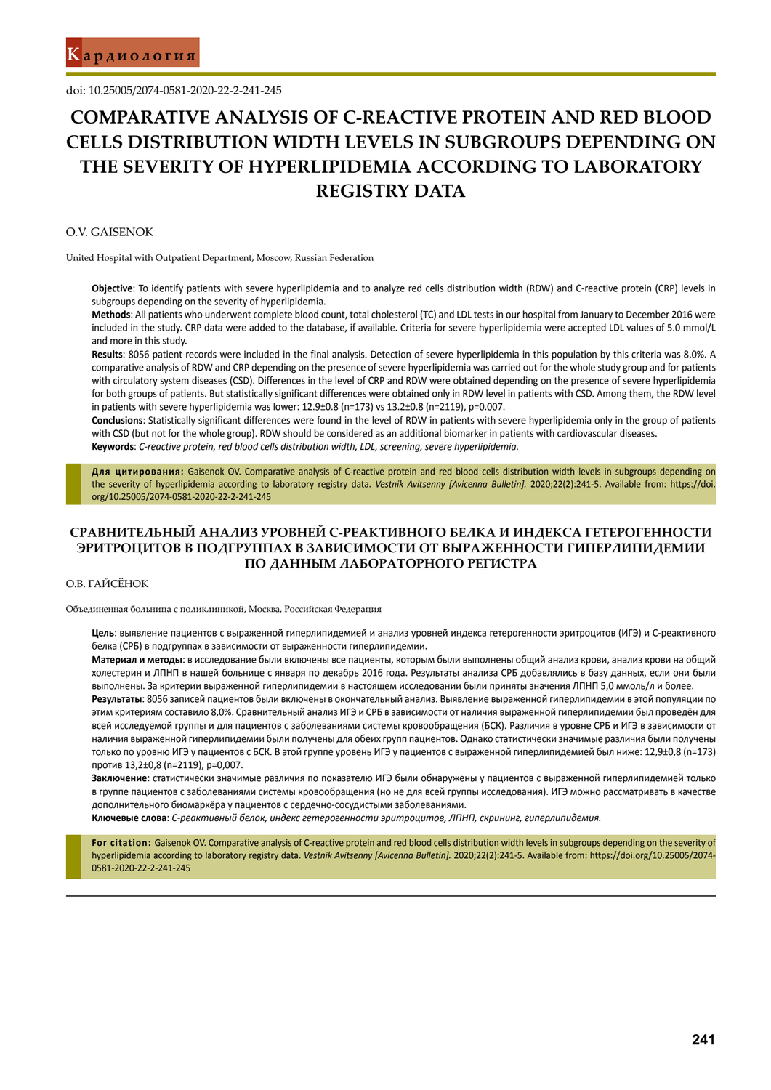doi: 10.25005/2074-0581-2020-22-2-241-245

# **COMPARATIVE ANALYSIS OF C-REACTIVE PROTEIN AND RED BLOOD CELLS DISTRIBUTION WIDTH LEVELS IN SUBGROUPS DEPENDING ON THE SEVERITY OF HYPERLIPIDEMIA ACCORDING TO LABORATORY REGISTRY DATA**

### O.V. Gaisenok

United Hospital with Outpatient Department, Moscow, Russian Federation

**Objective**: To identify patients with severe hyperlipidemia and to analyze red cells distribution width (RDW) and C-reactive protein (CRP) levels in subgroups depending on the severity of hyperlipidemia.

**Methods**: All patients who underwent complete blood count, total cholesterol (TC) and LDL tests in our hospital from January to December 2016 were included in the study. CRP data were added to the database, if available. Criteria for severe hyperlipidemia were accepted LDL values of 5.0 mmol/L and more in this study.

**Results**: 8056 patient records were included in the final analysis. Detection of severe hyperlipidemia in this population by this criteria was 8.0%. A comparative analysis of RDW and CRP depending on the presence of severe hyperlipidemia was carried out for the whole study group and for patients with circulatory system diseases (CSD). Differences in the level of CRP and RDW were obtained depending on the presence of severe hyperlipidemia for both groups of patients. But statistically significant differences were obtained only in RDW level in patients with CSD. Among them, the RDW level in patients with severe hyperlipidemia was lower: 12.9±0.8 (n=173) vs 13.2±0.8 (n=2119), p=0.007.

**Conclusions**: Statistically significant differences were found in the level of RDW in patients with severe hyperlipidemia only in the group of patients with CSD (but not for the whole group). RDW should be considered as an additional biomarker in patients with cardiovascular diseases. **Keywords**: *C-reactive protein, red blood cells distribution width, LDL, screening, severe hyperlipidemia.*

**Для цитирования:** Gaisenok OV. Comparative analysis of C-reactive protein and red blood cells distribution width levels in subgroups depending on the severity of hyperlipidemia according to laboratory registry data. *Vestnik Avitsenny [Avicenna Bulletin].* 2020;22(2):241-5. Available from: https://doi. org/10.25005/2074-0581-2020-22-2-241-245

# **СРАВНИТЕЛЬНЫЙ АНАЛИЗ УРОВНЕЙ C-РЕАКТИВНОГО БЕЛКА И ИНДЕКСА ГЕТЕРОГЕННОСТИ ЭРИТРОЦИТОВ В ПОДГРУППАХ В ЗАВИСИМОСТИ ОТ ВЫРАЖЕННОСТИ ГИПЕРЛИПИДЕМИИ ПО ДАННЫМ ЛАБОРАТОРНОГО РЕГИСТРА**

### O.В. Гайсёнок

Объединенная больница с поликлиникой, Москва, Российская Федерация

**Цель**: выявление пациентов с выраженной гиперлипидемией и анализ уровней индекса гетерогенности эритроцитов (ИГЭ) и C-реактивного белка (CРБ) в подгруппах в зависимости от выраженности гиперлипидемии.

**Материал и методы**: в исследование были включены все пациенты, которым были выполнены общий анализ крови, анализ крови на общий холестерин и ЛПНП в нашей больнице с января по декабрь 2016 года. Результаты анализа СРБ добавлялись в базу данных, если они были выполнены. За критерии выраженной гиперлипидемии в настоящем исследовании были приняты значения ЛПНП 5,0 ммоль/л и более.

**Результаты**: 8056 записей пациентов были включены в окончательный анализ. Выявление выраженной гиперлипидемии в этой популяции по этим критериям составило 8,0%. Сравнительный анализ ИГЭ и СРБ в зависимости от наличия выраженной гиперлипидемии был проведён для всей исследуемой группы и для пациентов с заболеваниями системы кровообращения (БСК). Различия в уровне СРБ и ИГЭ в зависимости от наличия выраженной гиперлипидемии были получены для обеих групп пациентов. Однако статистически значимые различия были получены только по уровню ИГЭ у пациентов с БСК. В этой группе уровень ИГЭ у пациентов с выраженной гиперлипидемией был ниже: 12,9±0,8 (n=173) против 13,2±0,8 (n=2119), p=0,007.

**Заключение**: статистически значимые различия по показателю ИГЭ были обнаружены у пациентов с выраженной гиперлипидемией только в группе пациентов с заболеваниями системы кровообращения (но не для всей группы исследования). ИГЭ можно рассматривать в качестве дополнительного биомаркёра у пациентов с сердечно-сосудистыми заболеваниями.

**Ключевые слова**: *C-реактивный белок, индекс гетерогенности эритроцитов, ЛПНП, скрининг, гиперлипидемия.*

For citation: Gaisenok OV. Comparative analysis of C-reactive protein and red blood cells distribution width levels in subgroups depending on the severity of hyperlipidemia according to laboratory registry data. *Vestnik Avitsenny [Avicenna Bulletin].* 2020;22(2):241-5. Available from: https://doi.org/10.25005/2074- 0581-2020-22-2-241-245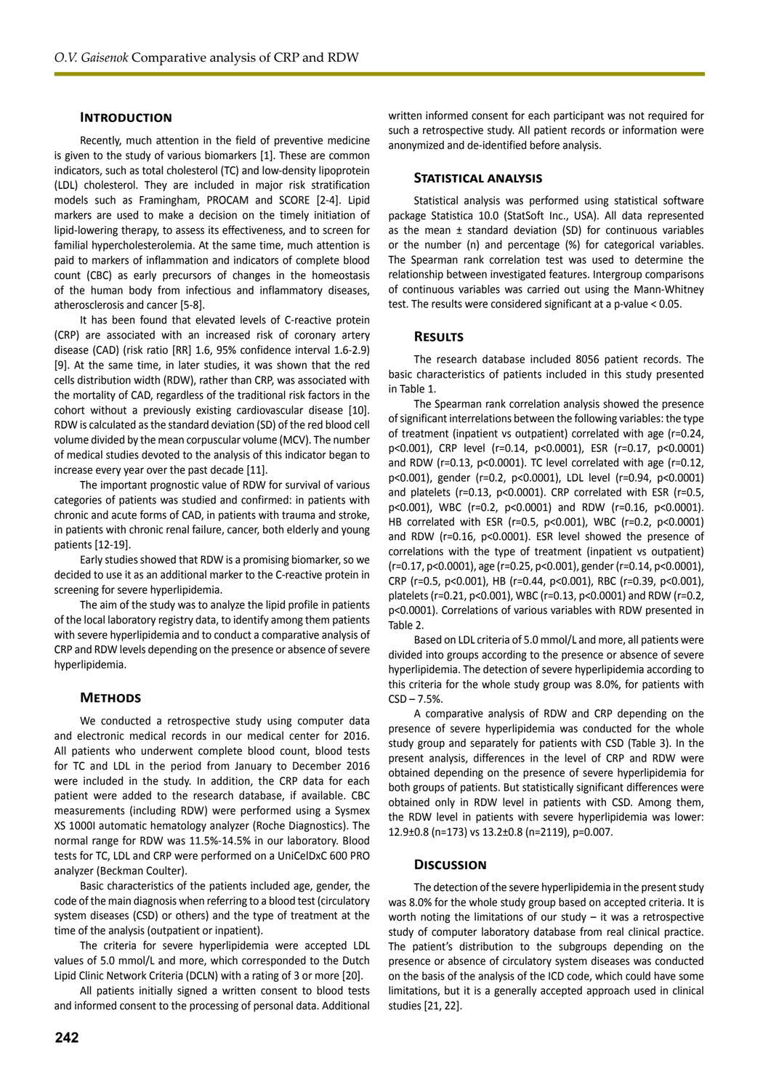### **INTRODUCTION**

Recently, much attention in the field of preventive medicine is given to the study of various biomarkers [1]. These are common indicators, such as total cholesterol (TC) and low-density lipoprotein (LDL) cholesterol. They are included in major risk stratification models such as Framingham, PROCAM and SCORE [2-4]. Lipid markers are used to make a decision on the timely initiation of lipid-lowering therapy, to assess its effectiveness, and to screen for familial hypercholesterolemia. At the same time, much attention is paid to markers of inflammation and indicators of complete blood count (CBC) as early precursors of changes in the homeostasis of the human body from infectious and inflammatory diseases, atherosclerosis and cancer [5-8].

It has been found that elevated levels of C-reactive protein (CRP) are associated with an increased risk of coronary artery disease (CAD) (risk ratio [RR] 1.6, 95% confidence interval 1.6-2.9) [9]. At the same time, in later studies, it was shown that the red cells distribution width (RDW), rather than CRP, was associated with the mortality of CAD, regardless of the traditional risk factors in the cohort without a previously existing cardiovascular disease [10]. RDW is calculated as the standard deviation (SD) of the red blood cell volume divided by the mean corpuscular volume (MCV). The number of medical studies devoted to the analysis of this indicator began to increase every year over the past decade [11].

The important prognostic value of RDW for survival of various categories of patients was studied and confirmed: in patients with chronic and acute forms of CAD, in patients with trauma and stroke, in patients with chronic renal failure, cancer, both elderly and young patients [12-19].

Early studies showed that RDW is a promising biomarker, so we decided to use it as an additional marker to the C-reactive protein in screening for severe hyperlipidemia.

The aim of the study was to analyze the lipid profile in patients of the local laboratory registry data, to identify among them patients with severe hyperlipidemia and to conduct a comparative analysis of CRP and RDW levels depending on the presence or absence of severe hyperlipidemia.

#### **Methods**

We conducted a retrospective study using computer data and electronic medical records in our medical center for 2016. All patients who underwent complete blood count, blood tests for TC and LDL in the period from January to December 2016 were included in the study. In addition, the CRP data for each patient were added to the research database, if available. CBC measurements (including RDW) were performed using a Sysmex XS 1000I automatic hematology analyzer (Roche Diagnostics). The normal range for RDW was 11.5%-14.5% in our laboratory. Blood tests for TC, LDL and CRP were performed on a UniCelDxC 600 PRO analyzer (Beckman Coulter).

Basic characteristics of the patients included age, gender, the code of the main diagnosis when referring to a blood test (circulatory system diseases (CSD) or others) and the type of treatment at the time of the analysis (outpatient or inpatient).

The criteria for severe hyperlipidemia were accepted LDL values of 5.0 mmol/L and more, which corresponded to the Dutch Lipid Clinic Network Criteria (DCLN) with a rating of 3 or more [20].

All patients initially signed a written consent to blood tests and informed consent to the processing of personal data. Additional

**242**

written informed consent for each participant was not required for such a retrospective study. All patient records or information were anonymized and de-identified before analysis.

# **Statistical analysis**

Statistical analysis was performed using statistical software package Statistica 10.0 (StatSoft Inc., USA). All data represented as the mean  $\pm$  standard deviation (SD) for continuous variables or the number (n) and percentage (%) for categorical variables. The Spearman rank correlation test was used to determine the relationship between investigated features. Intergroup comparisons of continuous variables was carried out using the Mann-Whitney test. The results were considered significant at a p-value < 0.05.

#### **Results**

The research database included 8056 patient records. The basic characteristics of patients included in this study presented in Table 1.

The Spearman rank correlation analysis showed the presence of significant interrelations between the following variables: the type of treatment (inpatient vs outpatient) correlated with age (r=0.24, p<0.001), CRP level (r=0.14, p<0.0001), ESR (r=0.17, p<0.0001) and RDW (r=0.13, p<0.0001). TC level correlated with age (r=0.12, p<0.001), gender (r=0.2, p<0.0001), LDL level (r=0.94, p<0.0001) and platelets (r=0.13, p<0.0001). CRP correlated with ESR (r=0.5, p<0.001), WBC (r=0.2, p<0.0001) and RDW (r=0.16, p<0.0001). HB correlated with ESR (r=0.5, p<0.001), WBC (r=0.2, p<0.0001) and RDW (r=0.16, p<0.0001). ESR level showed the presence of correlations with the type of treatment (inpatient vs outpatient) (r=0.17, p<0.0001), age (r=0.25, p<0.001), gender (r=0.14, p<0.0001), CRP (r=0.5, p<0.001), HB (r=0.44, p<0.001), RBC (r=0.39, p<0.001), platelets (r=0.21, p<0.001), WBC (r=0.13, p<0.0001) and RDW (r=0.2, p<0.0001). Correlations of various variables with RDW presented in Table 2.

Based on LDL criteria of 5.0 mmol/L and more, all patients were divided into groups according to the presence or absence of severe hyperlipidemia. The detection of severe hyperlipidemia according to this criteria for the whole study group was 8.0%, for patients with  $CSD - 7.5%$ .

A comparative analysis of RDW and CRP depending on the presence of severe hyperlipidemia was conducted for the whole study group and separately for patients with CSD (Table 3). In the present analysis, differences in the level of CRP and RDW were obtained depending on the presence of severe hyperlipidemia for both groups of patients. But statistically significant differences were obtained only in RDW level in patients with CSD. Among them, the RDW level in patients with severe hyperlipidemia was lower: 12.9±0.8 (n=173) vs 13.2±0.8 (n=2119), p=0.007.

### **Discussion**

The detection of the severe hyperlipidemia in the present study was 8.0% for the whole study group based on accepted criteria. It is worth noting the limitations of our study – it was a retrospective study of computer laboratory database from real clinical practice. The patient's distribution to the subgroups depending on the presence or absence of circulatory system diseases was conducted on the basis of the analysis of the ICD code, which could have some limitations, but it is a generally accepted approach used in clinical studies [21, 22].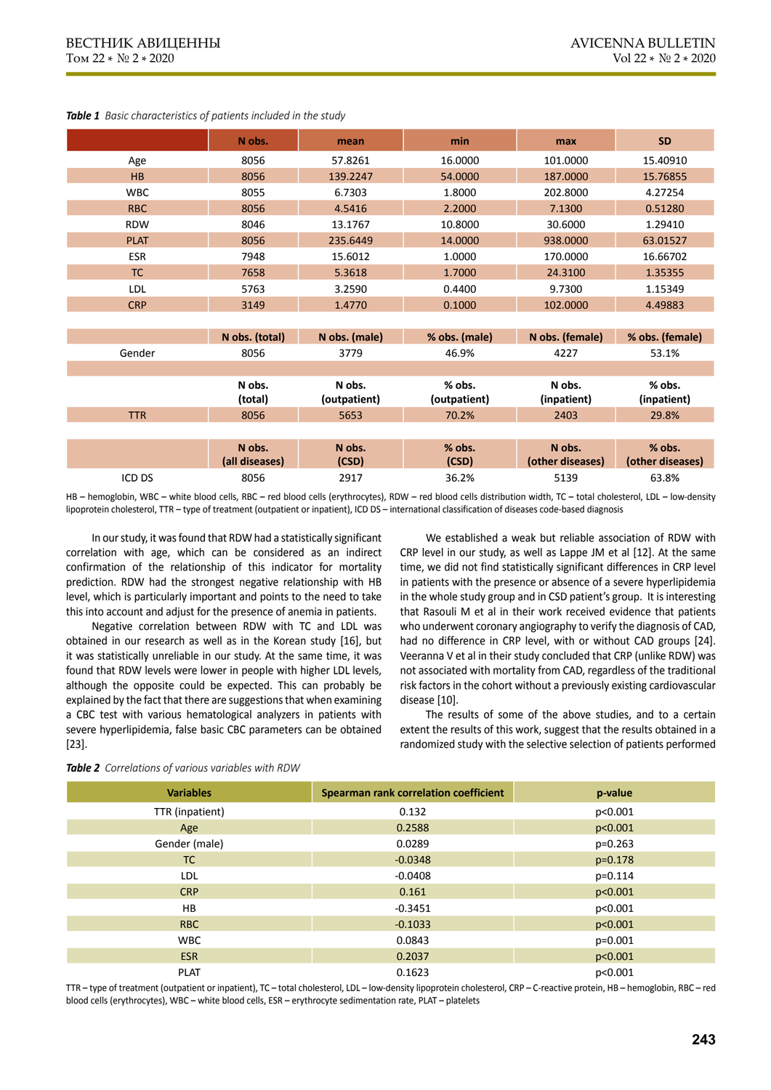|             | N obs.                   | mean                 | min                   | max                        | <b>SD</b>                  |  |
|-------------|--------------------------|----------------------|-----------------------|----------------------------|----------------------------|--|
| Age         | 8056                     | 57.8261              | 16.0000               | 101.0000                   | 15.40910                   |  |
| HB          | 8056                     | 139.2247             | 54.0000               | 187.0000                   | 15.76855                   |  |
| <b>WBC</b>  | 8055                     | 6.7303               | 1.8000                | 202.8000                   | 4.27254                    |  |
| <b>RBC</b>  | 8056                     | 4.5416               | 2.2000                | 7.1300                     | 0.51280                    |  |
| <b>RDW</b>  | 8046                     | 13.1767              | 10.8000               | 30.6000                    | 1.29410                    |  |
| <b>PLAT</b> | 8056                     | 235.6449             | 14.0000               | 938.0000                   | 63.01527                   |  |
| ESR         | 7948                     | 15.6012              | 1.0000                | 170.0000                   | 16.66702                   |  |
| TC          | 7658                     | 5.3618               | 1.7000                | 24.3100                    | 1.35355                    |  |
| LDL         | 5763                     | 3.2590               | 0.4400                | 9.7300                     | 1.15349                    |  |
| <b>CRP</b>  | 3149                     | 1.4770               | 0.1000                | 102.0000                   | 4.49883                    |  |
|             |                          |                      |                       |                            |                            |  |
|             |                          |                      |                       |                            |                            |  |
|             | N obs. (total)           | N obs. (male)        | % obs. (male)         | N obs. (female)            | % obs. (female)            |  |
| Gender      | 8056                     | 3779                 | 46.9%                 | 4227                       | 53.1%                      |  |
|             |                          |                      |                       |                            |                            |  |
|             | N obs.                   | N obs.               | % obs.                | N obs.                     | % obs.                     |  |
| <b>TTR</b>  | (total)<br>8056          | (outpatient)<br>5653 | (outpatient)<br>70.2% | (inpatient)<br>2403        | (inpatient)<br>29.8%       |  |
|             |                          |                      |                       |                            |                            |  |
|             | N obs.<br>(all diseases) | N obs.<br>(CSD)      | % obs.<br>(CSD)       | N obs.<br>(other diseases) | % obs.<br>(other diseases) |  |

*Table 1 Basic characteristics of patients included in the study*

HB – hemoglobin, WBC – white blood cells, RBC – red blood cells (erythrocytes), RDW – red blood cells distribution width, TC – total cholesterol, LDL – low-density lipoprotein cholesterol, TTR – type of treatment (outpatient or inpatient), ICD DS – international classification of diseases code-based diagnosis

In our study, it was found that RDW had a statistically significant correlation with age, which can be considered as an indirect confirmation of the relationship of this indicator for mortality prediction. RDW had the strongest negative relationship with HB level, which is particularly important and points to the need to take this into account and adjust for the presence of anemia in patients.

Negative correlation between RDW with TC and LDL was obtained in our research as well as in the Korean study [16], but it was statistically unreliable in our study. At the same time, it was found that RDW levels were lower in people with higher LDL levels, although the opposite could be expected. This can probably be explained by the fact that there are suggestions that when examining a CBC test with various hematological analyzers in patients with severe hyperlipidemia, false basic CBC parameters can be obtained [23].

We established a weak but reliable association of RDW with CRP level in our study, as well as Lappe JM et al [12]. At the same time, we did not find statistically significant differences in CRP level in patients with the presence or absence of a severe hyperlipidemia in the whole study group and in CSD patient's group. It is interesting that Rasouli M et al in their work received evidence that patients who underwent coronary angiography to verify the diagnosis of CAD, had no difference in CRP level, with or without CAD groups [24]. Veeranna V et al in their study concluded that CRP (unlike RDW) was not associated with mortality from CAD, regardless of the traditional risk factors in the cohort without a previously existing cardiovascular disease [10].

The results of some of the above studies, and to a certain extent the results of this work, suggest that the results obtained in a randomized study with the selective selection of patients performed

| <b>Variables</b> | Spearman rank correlation coefficient | p-value   |
|------------------|---------------------------------------|-----------|
| TTR (inpatient)  | 0.132                                 | p<0.001   |
| Age              | 0.2588                                | p<0.001   |
| Gender (male)    | 0.0289                                | $p=0.263$ |
| TC               | $-0.0348$                             | $p=0.178$ |
| LDL              | $-0.0408$                             | $p=0.114$ |
| <b>CRP</b>       | 0.161                                 | p<0.001   |
| HB.              | $-0.3451$                             | p<0.001   |
| RBC              | $-0.1033$                             | p<0.001   |
| <b>WBC</b>       | 0.0843                                | $p=0.001$ |
| <b>ESR</b>       | 0.2037                                | p<0.001   |
| <b>PLAT</b>      | 0.1623                                | p<0.001   |

*Table 2 Correlations of various variables with RDW*

TTR – type of treatment (outpatient or inpatient), TC – total cholesterol, LDL – low-density lipoprotein cholesterol, CRP – C-reactive protein, HB – hemoglobin, RBC – red blood cells (erythrocytes), WBC – white blood cells, ESR – erythrocyte sedimentation rate, PLAT – platelets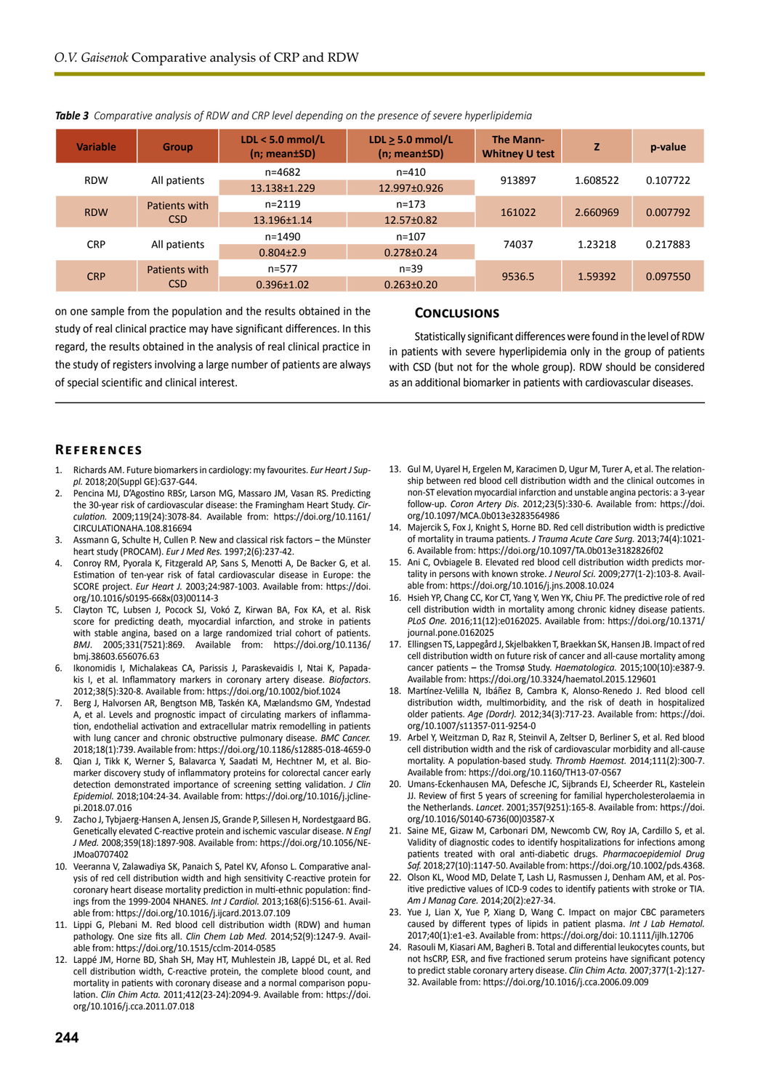| <b>Variable</b> | <b>Group</b>                | LDL < $5.0$ mmol/L<br>$(n; mean \pm SD)$ | $LDL > 5.0$ mmol/L<br>$(n; mean \pm SD)$ | The Mann-<br><b>Whitney U test</b> | Z        | p-value  |
|-----------------|-----------------------------|------------------------------------------|------------------------------------------|------------------------------------|----------|----------|
| <b>RDW</b>      |                             | $n = 4682$                               | $n = 410$                                | 913897                             | 1.608522 | 0.107722 |
|                 | All patients                | 13.138 ± 1.229                           | 12.997±0.926                             |                                    |          |          |
| <b>RDW</b>      | Patients with<br><b>CSD</b> | $n = 2119$                               | $n = 173$                                | 161022                             | 2.660969 | 0.007792 |
|                 |                             | 13.196±1.14                              | 12.57±0.82                               |                                    |          |          |
| <b>CRP</b>      | All patients                | $n = 1490$                               | $n = 107$                                | 74037                              | 1.23218  | 0.217883 |
|                 |                             | $0.804 \pm 2.9$                          | $0.278 \pm 0.24$                         |                                    |          |          |
| <b>CRP</b>      | Patients with<br><b>CSD</b> | $n = 577$                                | $n = 39$                                 | 9536.5                             | 1.59392  | 0.097550 |
|                 |                             | $0.396 \pm 1.02$                         | $0.263 \pm 0.20$                         |                                    |          |          |

#### *Table 3 Comparative analysis of RDW and CRP level depending on the presence of severe hyperlipidemia*

on one sample from the population and the results obtained in the study of real clinical practice may have significant differences. In this regard, the results obtained in the analysis of real clinical practice in the study of registers involving a large number of patients are always of special scientific and clinical interest.

### **Conclusions**

Statistically significant differences were found in the level of RDW in patients with severe hyperlipidemia only in the group of patients with CSD (but not for the whole group). RDW should be considered as an additional biomarker in patients with cardiovascular diseases.

## **References**

- 1. Richards AM. Future biomarkers in cardiology: my favourites. *Eur Heart J Suppl.* 2018;20(Suppl GE):G37-G44.
- 2. Pencina MJ, D'Agostino RBSr, Larson MG, Massaro JM, Vasan RS. Predicting the 30-year risk of cardiovascular disease: the Framingham Heart Study. *Circulation.* 2009;119(24):3078-84. Available from: https://doi.org/10.1161/ CIRCULATIONAHA.108.816694
- 3. Assmann G, Schulte H, Cullen P. New and classical risk factors the Münster heart study (PROCAM). *Eur J Med Res.* 1997;2(6):237-42.
- 4. Conroy RM, Pyorala K, Fitzgerald AP, Sans S, Menotti A, De Backer G, et al. Estimation of ten-year risk of fatal cardiovascular disease in Europe: the SCORE project. *Eur Heart J.* 2003;24:987-1003. Available from: https://doi. org/10.1016/s0195-668x(03)00114-3
- 5. Clayton TC, Lubsen J, Pocock SJ, Vokó Z, Kirwan BA, Fox KA, et al. Risk score for predicting death, myocardial infarction, and stroke in patients with stable angina, based on a large randomized trial cohort of patients. *BMJ*. 2005;331(7521):869. Available from: https://doi.org/10.1136/ bmj.38603.656076.63
- Ikonomidis I, Michalakeas CA, Parissis J, Paraskevaidis I, Ntai K, Papadakis I, et al. Inflammatory markers in coronary artery disease. *Biofactors*. 2012;38(5):320-8. Available from: https://doi.org/10.1002/biof.1024
- 7. Berg J, Halvorsen AR, Bengtson MB, Taskén KA, Mælandsmo GM, Yndestad A, et al. Levels and prognostic impact of circulating markers of inflammation, endothelial activation and extracellular matrix remodelling in patients with lung cancer and chronic obstructive pulmonary disease. *BMC Cancer.* 2018;18(1):739. Available from: https://doi.org/10.1186/s12885-018-4659-0
- 8. Qian J, Tikk K, Werner S, Balavarca Y, Saadati M, Hechtner M, et al. Biomarker discovery study of inflammatory proteins for colorectal cancer early detection demonstrated importance of screening setting validation. *J Clin Epidemiol.* 2018;104:24-34. Available from: https://doi.org/10.1016/j.jclinepi.2018.07.016
- 9. Zacho J, Tybjaerg-Hansen A, Jensen JS, Grande P, Sillesen H, Nordestgaard BG. Genetically elevated C-reactive protein and ischemic vascular disease. *N Engl J Med.* 2008;359(18):1897-908. Available from: https://doi.org/10.1056/NE-JMoa0707402
- 10. Veeranna V, Zalawadiya SK, Panaich S, Patel KV, Afonso L. Comparative analysis of red cell distribution width and high sensitivity C-reactive protein for coronary heart disease mortality prediction in multi-ethnic population: findings from the 1999-2004 NHANES. *Int J Cardiol.* 2013;168(6):5156-61. Available from: https://doi.org/10.1016/j.ijcard.2013.07.109
- 11. Lippi G, Plebani M. Red blood cell distribution width (RDW) and human pathology. One size fits all. *Clin Chem Lab Med.* 2014;52(9):1247-9. Available from: https://doi.org/10.1515/cclm-2014-0585
- 12. Lappé JM, Horne BD, Shah SH, May HT, Muhlestein JB, Lappé DL, et al. Red cell distribution width, C-reactive protein, the complete blood count, and mortality in patients with coronary disease and a normal comparison population. *Clin Chim Acta.* 2011;412(23-24):2094-9. Available from: https://doi. org/10.1016/j.cca.2011.07.018
- 13. Gul M, Uyarel H, Ergelen M, Karacimen D, Ugur M, Turer A, et al. The relationship between red blood cell distribution width and the clinical outcomes in non-ST elevation myocardial infarction and unstable angina pectoris: a 3-year follow-up. *Coron Artery Dis*. 2012;23(5):330-6. Available from: https://doi. org/10.1097/MCA.0b013e3283564986
- 14. Majercik S, Fox J, Knight S, Horne BD. Red cell distribution width is predictive of mortality in trauma patients. *J Trauma Acute Care Surg.* 2013;74(4):1021- 6. Available from: https://doi.org/10.1097/TA.0b013e3182826f02
- 15. Ani C, Ovbiagele B. Elevated red blood cell distribution width predicts mortality in persons with known stroke. *J Neurol Sci.* 2009;277(1-2):103-8. Available from: https://doi.org/10.1016/j.jns.2008.10.024
- 16. Hsieh YP, Chang CC, Kor CT, Yang Y, Wen YK, Chiu PF. The predictive role of red cell distribution width in mortality among chronic kidney disease patients. *PLoS One.* 2016;11(12):e0162025. Available from: https://doi.org/10.1371/ journal.pone.0162025
- 17. Ellingsen TS, Lappegård J, Skjelbakken T, Braekkan SK, Hansen JB. Impact of red cell distribution width on future risk of cancer and all-cause mortality among cancer patients – the Tromsø Study. *Haematologica.* 2015;100(10):e387-9. Available from: https://doi.org/10.3324/haematol.2015.129601
- 18. Martínez-Velilla N, Ibáñez B, Cambra K, Alonso-Renedo J. Red blood cell distribution width, multimorbidity, and the risk of death in hospitalized older patients. *Age (Dordr).* 2012;34(3):717-23. Available from: https://doi. org/10.1007/s11357-011-9254-0
- 19. Arbel Y, Weitzman D, Raz R, Steinvil A, Zeltser D, Berliner S, et al. Red blood cell distribution width and the risk of cardiovascular morbidity and all-cause mortality. A population-based study. *Thromb Haemost.* 2014;111(2):300-7. Available from: https://doi.org/10.1160/TH13-07-0567
- 20. Umans-Eckenhausen MA, Defesche JC, Sijbrands EJ, Scheerder RL, Kastelein JJ. Review of first 5 years of screening for familial hypercholesterolaemia in the Netherlands. *Lancet*. 2001;357(9251):165-8. Available from: https://doi. org/10.1016/S0140-6736(00)03587-X
- 21. Saine ME, Gizaw M, Carbonari DM, Newcomb CW, Roy JA, Cardillo S, et al. Validity of diagnostic codes to identify hospitalizations for infections among patients treated with oral anti-diabetic drugs. *Pharmacoepidemiol Drug Saf.* 2018;27(10):1147-50. Available from: https://doi.org/10.1002/pds.4368.
- 22. Olson KL, Wood MD, Delate T, Lash LJ, Rasmussen J, Denham AM, et al. Positive predictive values of ICD-9 codes to identify patients with stroke or TIA. *Am J Manag Care.* 2014;20(2):e27-34.
- 23. Yue J, Lian X, Yue P, Xiang D, Wang C. Impact on major CBC parameters caused by different types of lipids in patient plasma. *Int J Lab Hematol.*  2017;40(1):e1-e3. Available from: https://doi.org/doi: 10.1111/ijlh.12706
- 24. Rasouli M, Kiasari AM, Bagheri B. Total and differential leukocytes counts, but not hsCRP, ESR, and five fractioned serum proteins have significant potency to predict stable coronary artery disease. *Clin Chim Acta.* 2007;377(1-2):127- 32. Available from: https://doi.org/10.1016/j.cca.2006.09.009